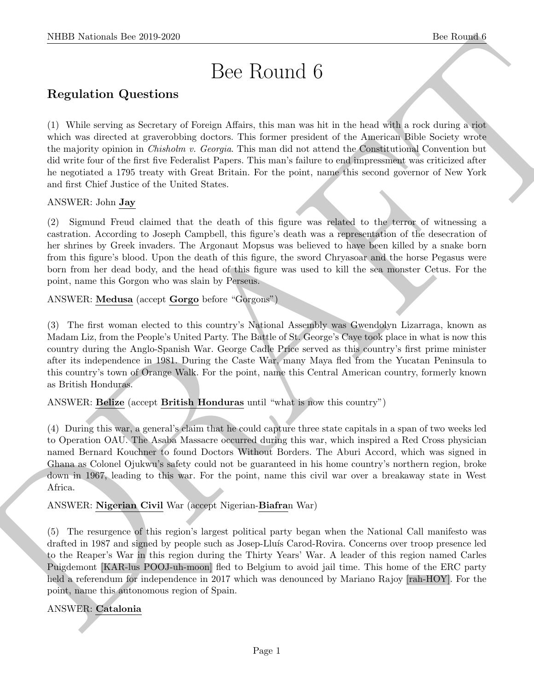# Bee Round 6

# Regulation Questions

NEED Noticeals line 2019.229.<br>
Dec Routint 6<br>
Regulation Questions<br>
Dece Routint 6<br>
Considers a Second of Britannia and the state of the state of the state of the state of the state of the state of the state of the state (1) While serving as Secretary of Foreign Affairs, this man was hit in the head with a rock during a riot which was directed at graverobbing doctors. This former president of the American Bible Society wrote the majority opinion in Chisholm v. Georgia. This man did not attend the Constitutional Convention but did write four of the first five Federalist Papers. This man's failure to end impressment was criticized after he negotiated a 1795 treaty with Great Britain. For the point, name this second governor of New York and first Chief Justice of the United States.

### ANSWER: John Jay

(2) Sigmund Freud claimed that the death of this figure was related to the terror of witnessing a castration. According to Joseph Campbell, this figure's death was a representation of the desecration of her shrines by Greek invaders. The Argonaut Mopsus was believed to have been killed by a snake born from this figure's blood. Upon the death of this figure, the sword Chryasoar and the horse Pegasus were born from her dead body, and the head of this figure was used to kill the sea monster Cetus. For the point, name this Gorgon who was slain by Perseus.

ANSWER: Medusa (accept Gorgo before "Gorgons")

(3) The first woman elected to this country's National Assembly was Gwendolyn Lizarraga, known as Madam Liz, from the People's United Party. The Battle of St. George's Caye took place in what is now this country during the Anglo-Spanish War. George Cadle Price served as this country's first prime minister after its independence in 1981. During the Caste War, many Maya fled from the Yucatan Peninsula to this country's town of Orange Walk. For the point, name this Central American country, formerly known as British Honduras.

#### ANSWER: Belize (accept British Honduras until "what is now this country")

(4) During this war, a general's claim that he could capture three state capitals in a span of two weeks led to Operation OAU. The Asaba Massacre occurred during this war, which inspired a Red Cross physician named Bernard Kouchner to found Doctors Without Borders. The Aburi Accord, which was signed in Ghana as Colonel Ojukwu's safety could not be guaranteed in his home country's northern region, broke down in 1967, leading to this war. For the point, name this civil war over a breakaway state in West Africa.

ANSWER: Nigerian Civil War (accept Nigerian-Biafran War)

(5) The resurgence of this region's largest political party began when the National Call manifesto was drafted in 1987 and signed by people such as Josep-Lluís Carod-Rovira. Concerns over troop presence led to the Reaper's War in this region during the Thirty Years' War. A leader of this region named Carles Puigdemont [KAR-lus POOJ-uh-moon] fled to Belgium to avoid jail time. This home of the ERC party held a referendum for independence in 2017 which was denounced by Mariano Rajoy [rah-HOY]. For the point, name this autonomous region of Spain.

# ANSWER: Catalonia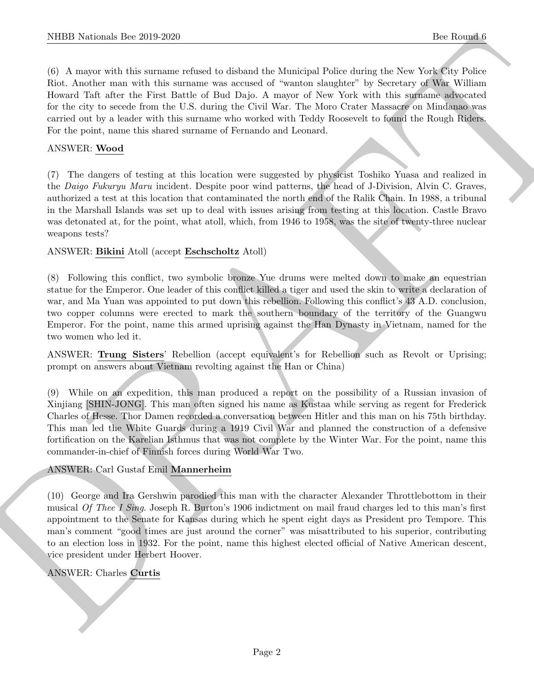NIBB Noticeals line 2019.229<br>
(C. A Answer six this statution the status of the Martingal Poles status the New York So Poles (C. A. Notice 1976)<br>
(C. A. Norther state with the statute statution of the New York Social Pole (6) A mayor with this surname refused to disband the Municipal Police during the New York City Police Riot. Another man with this surname was accused of "wanton slaughter" by Secretary of War William Howard Taft after the First Battle of Bud Dajo. A mayor of New York with this surname advocated for the city to secede from the U.S. during the Civil War. The Moro Crater Massacre on Mindanao was carried out by a leader with this surname who worked with Teddy Roosevelt to found the Rough Riders. For the point, name this shared surname of Fernando and Leonard.

#### ANSWER: Wood

(7) The dangers of testing at this location were suggested by physicist Toshiko Yuasa and realized in the Daigo Fukuryu Maru incident. Despite poor wind patterns, the head of J-Division, Alvin C. Graves, authorized a test at this location that contaminated the north end of the Ralik Chain. In 1988, a tribunal in the Marshall Islands was set up to deal with issues arising from testing at this location. Castle Bravo was detonated at, for the point, what atoll, which, from 1946 to 1958, was the site of twenty-three nuclear weapons tests?

#### ANSWER: Bikini Atoll (accept Eschscholtz Atoll)

(8) Following this conflict, two symbolic bronze Yue drums were melted down to make an equestrian statue for the Emperor. One leader of this conflict killed a tiger and used the skin to write a declaration of war, and Ma Yuan was appointed to put down this rebellion. Following this conflict's 43 A.D. conclusion, two copper columns were erected to mark the southern boundary of the territory of the Guangwu Emperor. For the point, name this armed uprising against the Han Dynasty in Vietnam, named for the two women who led it.

ANSWER: Trung Sisters' Rebellion (accept equivalent's for Rebellion such as Revolt or Uprising; prompt on answers about Vietnam revolting against the Han or China)

(9) While on an expedition, this man produced a report on the possibility of a Russian invasion of Xinjiang [SHIN-JONG]. This man often signed his name as Kustaa while serving as regent for Frederick Charles of Hesse. Thor Damen recorded a conversation between Hitler and this man on his 75th birthday. This man led the White Guards during a 1919 Civil War and planned the construction of a defensive fortification on the Karelian Isthmus that was not complete by the Winter War. For the point, name this commander-in-chief of Finnish forces during World War Two.

#### ANSWER: Carl Gustaf Emil Mannerheim

(10) George and Ira Gershwin parodied this man with the character Alexander Throttlebottom in their musical Of Thee I Sing. Joseph R. Burton's 1906 indictment on mail fraud charges led to this man's first appointment to the Senate for Kansas during which he spent eight days as President pro Tempore. This man's comment "good times are just around the corner" was misattributed to his superior, contributing to an election loss in 1932. For the point, name this highest elected official of Native American descent, vice president under Herbert Hoover.

# ANSWER: Charles Curtis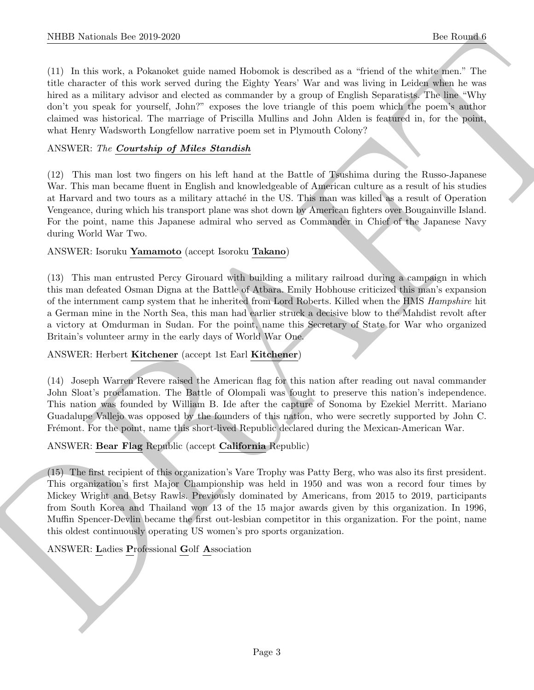(11) In this work, a Pokanoket guide named Hobomok is described as a "friend of the white men." The title character of this work served during the Eighty Years' War and was living in Leiden when he was hired as a military advisor and elected as commander by a group of English Separatists. The line "Why" don't you speak for yourself, John?" exposes the love triangle of this poem which the poem's author claimed was historical. The marriage of Priscilla Mullins and John Alden is featured in, for the point, what Henry Wadsworth Longfellow narrative poem set in Plymouth Colony?

#### ANSWER: The Courtship of Miles Standish

(12) This man lost two fingers on his left hand at the Battle of Tsushima during the Russo-Japanese War. This man became fluent in English and knowledgeable of American culture as a result of his studies at Harvard and two tours as a military attaché in the US. This man was killed as a result of Operation Vengeance, during which his transport plane was shot down by American fighters over Bougainville Island. For the point, name this Japanese admiral who served as Commander in Chief of the Japanese Navy during World War Two.

#### ANSWER: Isoruku Yamamoto (accept Isoroku Takano)

(13) This man entrusted Percy Girouard with building a military railroad during a campaign in which this man defeated Osman Digna at the Battle of Atbara. Emily Hobhouse criticized this man's expansion of the internment camp system that he inherited from Lord Roberts. Killed when the HMS Hampshire hit a German mine in the North Sea, this man had earlier struck a decisive blow to the Mahdist revolt after a victory at Omdurman in Sudan. For the point, name this Secretary of State for War who organized Britain's volunteer army in the early days of World War One.

#### ANSWER: Herbert Kitchener (accept 1st Earl Kitchener)

(14) Joseph Warren Revere raised the American flag for this nation after reading out naval commander John Sloat's proclamation. The Battle of Olompali was fought to preserve this nation's independence. This nation was founded by William B. Ide after the capture of Sonoma by Ezekiel Merritt. Mariano Guadalupe Vallejo was opposed by the founders of this nation, who were secretly supported by John C. Frémont. For the point, name this short-lived Republic declared during the Mexican-American War.

#### ANSWER: Bear Flag Republic (accept California Republic)

NIBB Noticeals line 200 200<br>
(1) In this case, a Possible qualch mass Beloniak a detected on where the distribution of the state of the line of the state of the state of the state of the state of the state of the state of (15) The first recipient of this organization's Vare Trophy was Patty Berg, who was also its first president. This organization's first Major Championship was held in 1950 and was won a record four times by Mickey Wright and Betsy Rawls. Previously dominated by Americans, from 2015 to 2019, participants from South Korea and Thailand won 13 of the 15 major awards given by this organization. In 1996, Muffin Spencer-Devlin became the first out-lesbian competitor in this organization. For the point, name this oldest continuously operating US women's pro sports organization.

#### ANSWER: Ladies Professional Golf Association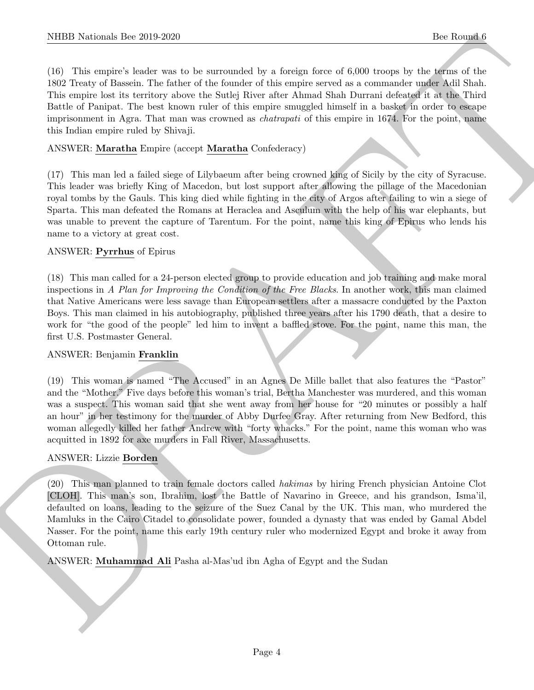(16) This empire's leader was to be surrounded by a foreign force of 6,000 troops by the terms of the 1802 Treaty of Bassein. The father of the founder of this empire served as a commander under Adil Shah. This empire lost its territory above the Sutlej River after Ahmad Shah Durrani defeated it at the Third Battle of Panipat. The best known ruler of this empire smuggled himself in a basket in order to escape imprisonment in Agra. That man was crowned as chatrapati of this empire in 1674. For the point, name this Indian empire ruled by Shivaji.

#### ANSWER: Maratha Empire (accept Maratha Confederacy)

(17) This man led a failed siege of Lilybaeum after being crowned king of Sicily by the city of Syracuse. This leader was briefly King of Macedon, but lost support after allowing the pillage of the Macedonian royal tombs by the Gauls. This king died while fighting in the city of Argos after failing to win a siege of Sparta. This man defeated the Romans at Heraclea and Asculum with the help of his war elephants, but was unable to prevent the capture of Tarentum. For the point, name this king of Epirus who lends his name to a victory at great cost.

#### ANSWER: Pyrrhus of Epirus

(18) This man called for a 24-person elected group to provide education and job training and make moral inspections in A Plan for Improving the Condition of the Free Blacks. In another work, this man claimed that Native Americans were less savage than European settlers after a massacre conducted by the Paxton Boys. This man claimed in his autobiography, published three years after his 1790 death, that a desire to work for "the good of the people" led him to invent a baffled stove. For the point, name this man, the first U.S. Postmaster General.

#### ANSWER: Benjamin Franklin

(19) This woman is named "The Accused" in an Agnes De Mille ballet that also features the "Pastor" and the "Mother." Five days before this woman's trial, Bertha Manchester was murdered, and this woman was a suspect. This woman said that she went away from her house for "20 minutes or possibly a half an hour" in her testimony for the murder of Abby Durfee Gray. After returning from New Bedford, this woman allegedly killed her father Andrew with "forty whacks." For the point, name this woman who was acquitted in 1892 for axe murders in Fall River, Massachusetts.

#### ANSWER: Lizzie Borden

NIEED Noticeals. Dev.260.3250<br>
100. This was not the manualistic is a factorized one of 0.00 linear to 100 linear to 100 linear to 100 linear to 100 lines in the 100 minimization of the manual shall the state of the manua (20) This man planned to train female doctors called hakimas by hiring French physician Antoine Clot [CLOH]. This man's son, Ibrahim, lost the Battle of Navarino in Greece, and his grandson, Isma'il, defaulted on loans, leading to the seizure of the Suez Canal by the UK. This man, who murdered the Mamluks in the Cairo Citadel to consolidate power, founded a dynasty that was ended by Gamal Abdel Nasser. For the point, name this early 19th century ruler who modernized Egypt and broke it away from Ottoman rule.

ANSWER: Muhammad Ali Pasha al-Mas'ud ibn Agha of Egypt and the Sudan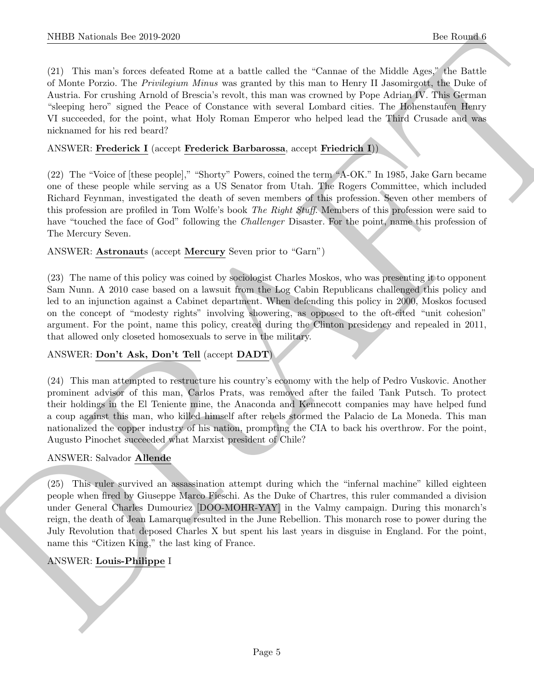NIBB Noticeals line 200 200<br>
(2) This mass of our state of the characteristic line Channel of the Malaka set of the Malaka set<br>
(2) The malaka set of the state of the state of the state of the Share of the Malaka set<br>
of (21) This man's forces defeated Rome at a battle called the "Cannae of the Middle Ages," the Battle of Monte Porzio. The Privilegium Minus was granted by this man to Henry II Jasomirgott, the Duke of Austria. For crushing Arnold of Brescia's revolt, this man was crowned by Pope Adrian IV. This German "sleeping hero" signed the Peace of Constance with several Lombard cities. The Hohenstaufen Henry VI succeeded, for the point, what Holy Roman Emperor who helped lead the Third Crusade and was nicknamed for his red beard?

#### ANSWER: Frederick I (accept Frederick Barbarossa, accept Friedrich I))

(22) The "Voice of [these people]," "Shorty" Powers, coined the term "A-OK." In 1985, Jake Garn became one of these people while serving as a US Senator from Utah. The Rogers Committee, which included Richard Feynman, investigated the death of seven members of this profession. Seven other members of this profession are profiled in Tom Wolfe's book The Right Stuff. Members of this profession were said to have "touched the face of God" following the *Challenger* Disaster. For the point, name this profession of The Mercury Seven.

#### ANSWER: Astronauts (accept Mercury Seven prior to "Garn")

(23) The name of this policy was coined by sociologist Charles Moskos, who was presenting it to opponent Sam Nunn. A 2010 case based on a lawsuit from the Log Cabin Republicans challenged this policy and led to an injunction against a Cabinet department. When defending this policy in 2000, Moskos focused on the concept of "modesty rights" involving showering, as opposed to the oft-cited "unit cohesion" argument. For the point, name this policy, created during the Clinton presidency and repealed in 2011, that allowed only closeted homosexuals to serve in the military.

#### ANSWER: Don't Ask, Don't Tell (accept DADT)

(24) This man attempted to restructure his country's economy with the help of Pedro Vuskovic. Another prominent advisor of this man, Carlos Prats, was removed after the failed Tank Putsch. To protect their holdings in the El Teniente mine, the Anaconda and Kennecott companies may have helped fund a coup against this man, who killed himself after rebels stormed the Palacio de La Moneda. This man nationalized the copper industry of his nation, prompting the CIA to back his overthrow. For the point, Augusto Pinochet succeeded what Marxist president of Chile?

#### ANSWER: Salvador Allende

(25) This ruler survived an assassination attempt during which the "infernal machine" killed eighteen people when fired by Giuseppe Marco Fieschi. As the Duke of Chartres, this ruler commanded a division under General Charles Dumouriez [DOO-MOHR-YAY] in the Valmy campaign. During this monarch's reign, the death of Jean Lamarque resulted in the June Rebellion. This monarch rose to power during the July Revolution that deposed Charles X but spent his last years in disguise in England. For the point, name this "Citizen King," the last king of France.

#### ANSWER: Louis-Philippe I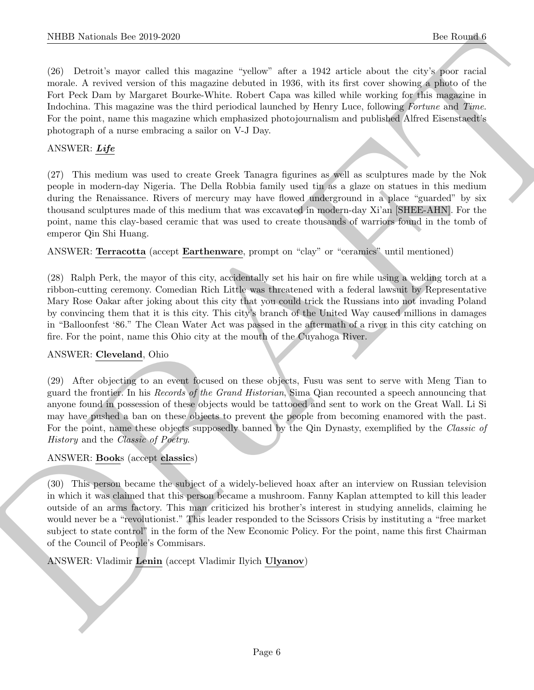(26) Detroit's mayor called this magazine "yellow" after a 1942 article about the city's poor racial morale. A revived version of this magazine debuted in 1936, with its first cover showing a photo of the Fort Peck Dam by Margaret Bourke-White. Robert Capa was killed while working for this magazine in Indochina. This magazine was the third periodical launched by Henry Luce, following Fortune and Time. For the point, name this magazine which emphasized photojournalism and published Alfred Eisenstaedt's photograph of a nurse embracing a sailor on V-J Day.

## ANSWER: Life

(27) This medium was used to create Greek Tanagra figurines as well as sculptures made by the Nok people in modern-day Nigeria. The Della Robbia family used tin as a glaze on statues in this medium during the Renaissance. Rivers of mercury may have flowed underground in a place "guarded" by six thousand sculptures made of this medium that was excavated in modern-day Xi'an [SHEE-AHN]. For the point, name this clay-based ceramic that was used to create thousands of warriors found in the tomb of emperor Qin Shi Huang.

ANSWER: Terracotta (accept Earthenware, prompt on "clay" or "ceramics" until mentioned)

(28) Ralph Perk, the mayor of this city, accidentally set his hair on fire while using a welding torch at a ribbon-cutting ceremony. Comedian Rich Little was threatened with a federal lawsuit by Representative Mary Rose Oakar after joking about this city that you could trick the Russians into not invading Poland by convincing them that it is this city. This city's branch of the United Way caused millions in damages in "Balloonfest '86." The Clean Water Act was passed in the aftermath of a river in this city catching on fire. For the point, name this Ohio city at the mouth of the Cuyahoga River.

#### ANSWER: Cleveland, Ohio

(29) After objecting to an event focused on these objects, Fusu was sent to serve with Meng Tian to guard the frontier. In his Records of the Grand Historian, Sima Qian recounted a speech announcing that anyone found in possession of these objects would be tattooed and sent to work on the Great Wall. Li Si may have pushed a ban on these objects to prevent the people from becoming enamored with the past. For the point, name these objects supposedly banned by the Qin Dynasty, exemplified by the Classic of History and the Classic of Poetry.

#### ANSWER: Books (accept classics)

DRAFT (30) This person became the subject of a widely-believed hoax after an interview on Russian television in which it was claimed that this person became a mushroom. Fanny Kaplan attempted to kill this leader outside of an arms factory. This man criticized his brother's interest in studying annelids, claiming he would never be a "revolutionist." This leader responded to the Scissors Crisis by instituting a "free market subject to state control" in the form of the New Economic Policy. For the point, name this first Chairman of the Council of People's Commisars.

ANSWER: Vladimir Lenin (accept Vladimir Ilyich Ulyanov)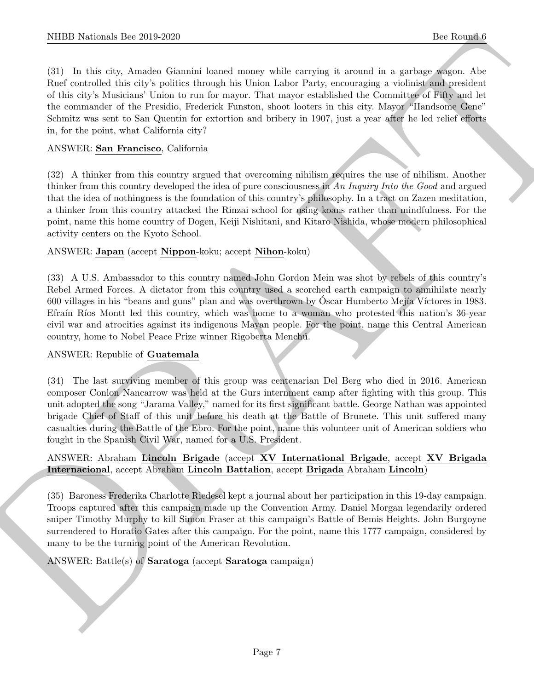NIBB Noticeals line 200 200<br>
1be Rounds downtown theoretical asset analy valid varieties it a small a superposite<br>
(3) In this case of a Analysis formula issue analysis and the Ferry extension is a problem red product of (31) In this city, Amadeo Giannini loaned money while carrying it around in a garbage wagon. Abe Ruef controlled this city's politics through his Union Labor Party, encouraging a violinist and president of this city's Musicians' Union to run for mayor. That mayor established the Committee of Fifty and let the commander of the Presidio, Frederick Funston, shoot looters in this city. Mayor "Handsome Gene" Schmitz was sent to San Quentin for extortion and bribery in 1907, just a year after he led relief efforts in, for the point, what California city?

#### ANSWER: San Francisco, California

(32) A thinker from this country argued that overcoming nihilism requires the use of nihilism. Another thinker from this country developed the idea of pure consciousness in An Inquiry Into the Good and argued that the idea of nothingness is the foundation of this country's philosophy. In a tract on Zazen meditation, a thinker from this country attacked the Rinzai school for using koans rather than mindfulness. For the point, name this home country of Dogen, Keiji Nishitani, and Kitaro Nishida, whose modern philosophical activity centers on the Kyoto School.

#### ANSWER: Japan (accept Nippon-koku; accept Nihon-koku)

(33) A U.S. Ambassador to this country named John Gordon Mein was shot by rebels of this country's Rebel Armed Forces. A dictator from this country used a scorched earth campaign to annihilate nearly 600 villages in his "beans and guns" plan and was overthrown by Oscar Humberto Mejía Víctores in 1983. Efraín Ríos Montt led this country, which was home to a woman who protested this nation's 36-year civil war and atrocities against its indigenous Mayan people. For the point, name this Central American country, home to Nobel Peace Prize winner Rigoberta Menchú.

#### ANSWER: Republic of Guatemala

(34) The last surviving member of this group was centenarian Del Berg who died in 2016. American composer Conlon Nancarrow was held at the Gurs internment camp after fighting with this group. This unit adopted the song "Jarama Valley," named for its first significant battle. George Nathan was appointed brigade Chief of Staff of this unit before his death at the Battle of Brunete. This unit suffered many casualties during the Battle of the Ebro. For the point, name this volunteer unit of American soldiers who fought in the Spanish Civil War, named for a U.S. President.

#### ANSWER: Abraham Lincoln Brigade (accept XV International Brigade, accept XV Brigada Internacional, accept Abraham Lincoln Battalion, accept Brigada Abraham Lincoln)

(35) Baroness Frederika Charlotte Riedesel kept a journal about her participation in this 19-day campaign. Troops captured after this campaign made up the Convention Army. Daniel Morgan legendarily ordered sniper Timothy Murphy to kill Simon Fraser at this campaign's Battle of Bemis Heights. John Burgoyne surrendered to Horatio Gates after this campaign. For the point, name this 1777 campaign, considered by many to be the turning point of the American Revolution.

ANSWER: Battle(s) of Saratoga (accept Saratoga campaign)